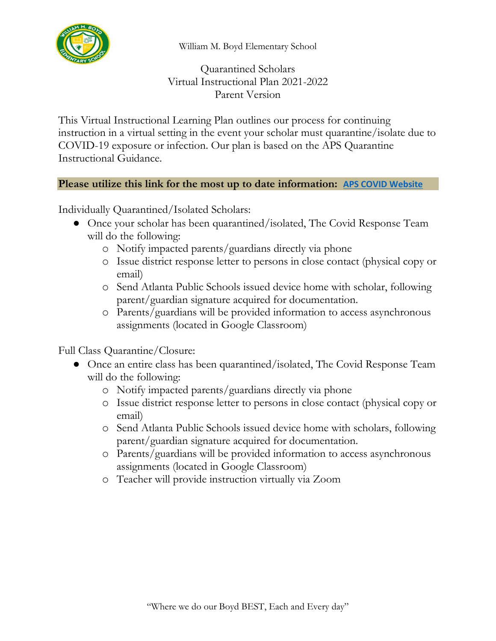

William M. Boyd Elementary School

Quarantined Scholars Virtual Instructional Plan 2021-2022 Parent Version

This Virtual Instructional Learning Plan outlines our process for continuing instruction in a virtual setting in the event your scholar must quarantine/isolate due to COVID-19 exposure or infection. Our plan is based on the APS Quarantine Instructional Guidance.

## **Please utilize this link for the most up to date information: [APS COVID Website](https://nam11.safelinks.protection.outlook.com/?url=https%3A%2F%2Fwww.atlantapublicschools.us%2FPage%2F64958&data=04%7C01%7CRockell.McNair%40atlanta.k12.ga.us%7C23a6e082a6054732dc7c08d9e7ed3149%7C0d95ef40a0dd431890985e10f876f635%7C0%7C0%7C637795828184509734%7CUnknown%7CTWFpbGZsb3d8eyJWIjoiMC4wLjAwMDAiLCJQIjoiV2luMzIiLCJBTiI6Ik1haWwiLCJXVCI6Mn0%3D%7C3000&sdata=rM6F6XXbkyxDuTHSp0HoRe1FNPqlFEuJu6jSfaQxaIo%3D&reserved=0)**

Individually Quarantined/Isolated Scholars:

- Once your scholar has been quarantined/isolated, The Covid Response Team will do the following:
	- o Notify impacted parents/guardians directly via phone
	- o Issue district response letter to persons in close contact (physical copy or email)
	- o Send Atlanta Public Schools issued device home with scholar, following parent/guardian signature acquired for documentation.
	- o Parents/guardians will be provided information to access asynchronous assignments (located in Google Classroom)

Full Class Quarantine/Closure:

- Once an entire class has been quarantined/isolated, The Covid Response Team will do the following:
	- o Notify impacted parents/guardians directly via phone
	- o Issue district response letter to persons in close contact (physical copy or email)
	- o Send Atlanta Public Schools issued device home with scholars, following parent/guardian signature acquired for documentation.
	- o Parents/guardians will be provided information to access asynchronous assignments (located in Google Classroom)
	- o Teacher will provide instruction virtually via Zoom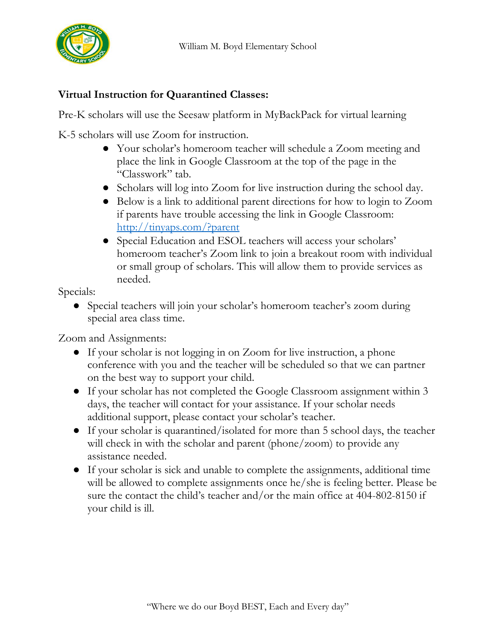

## **Virtual Instruction for Quarantined Classes:**

Pre-K scholars will use the Seesaw platform in MyBackPack for virtual learning

K-5 scholars will use Zoom for instruction.

- Your scholar's homeroom teacher will schedule a Zoom meeting and place the link in Google Classroom at the top of the page in the "Classwork" tab.
- Scholars will log into Zoom for live instruction during the school day.
- Below is a link to additional parent directions for how to login to Zoom if parents have trouble accessing the link in Google Classroom: <http://tinyaps.com/?parent>
- Special Education and ESOL teachers will access your scholars' homeroom teacher's Zoom link to join a breakout room with individual or small group of scholars. This will allow them to provide services as needed.

Specials:

• Special teachers will join your scholar's homeroom teacher's zoom during special area class time.

Zoom and Assignments:

- If your scholar is not logging in on Zoom for live instruction, a phone conference with you and the teacher will be scheduled so that we can partner on the best way to support your child.
- If your scholar has not completed the Google Classroom assignment within 3 days, the teacher will contact for your assistance. If your scholar needs additional support, please contact your scholar's teacher.
- If your scholar is quarantined/isolated for more than 5 school days, the teacher will check in with the scholar and parent (phone/zoom) to provide any assistance needed.
- If your scholar is sick and unable to complete the assignments, additional time will be allowed to complete assignments once he/she is feeling better. Please be sure the contact the child's teacher and/or the main office at 404-802-8150 if your child is ill.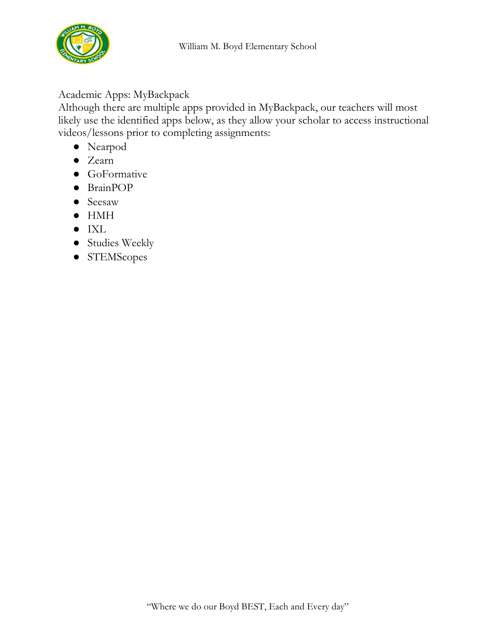

## Academic Apps: MyBackpack

Although there are multiple apps provided in MyBackpack, our teachers will most likely use the identified apps below, as they allow your scholar to access instructional videos/lessons prior to completing assignments:

- Nearpod
- Zearn
- GoFormative
- BrainPOP
- Seesaw
- HMH
- IXL
- Studies Weekly
- STEMScopes